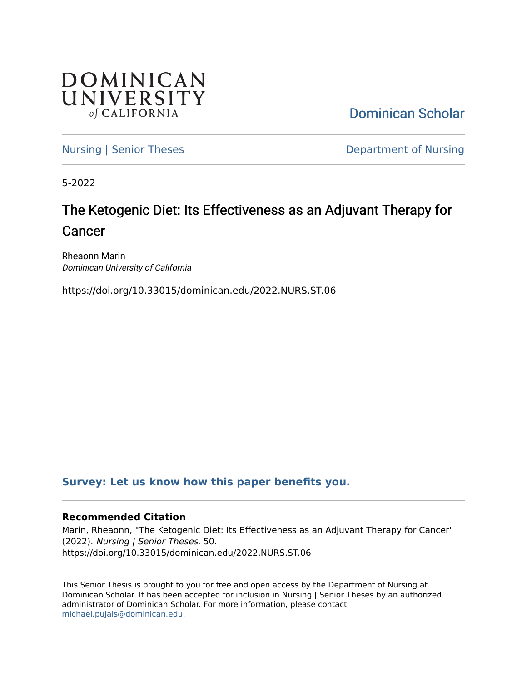

[Dominican Scholar](https://scholar.dominican.edu/) 

[Nursing | Senior Theses](https://scholar.dominican.edu/nursing-senior-theses) **Department of Nursing** 

5-2022

# The Ketogenic Diet: Its Effectiveness as an Adjuvant Therapy for Cancer

Rheaonn Marin Dominican University of California

https://doi.org/10.33015/dominican.edu/2022.NURS.ST.06

# **[Survey: Let us know how this paper benefits you.](https://dominican.libwizard.com/dominican-scholar-feedback)**

### **Recommended Citation**

Marin, Rheaonn, "The Ketogenic Diet: Its Effectiveness as an Adjuvant Therapy for Cancer" (2022). Nursing | Senior Theses. 50. https://doi.org/10.33015/dominican.edu/2022.NURS.ST.06

This Senior Thesis is brought to you for free and open access by the Department of Nursing at Dominican Scholar. It has been accepted for inclusion in Nursing | Senior Theses by an authorized administrator of Dominican Scholar. For more information, please contact [michael.pujals@dominican.edu.](mailto:michael.pujals@dominican.edu)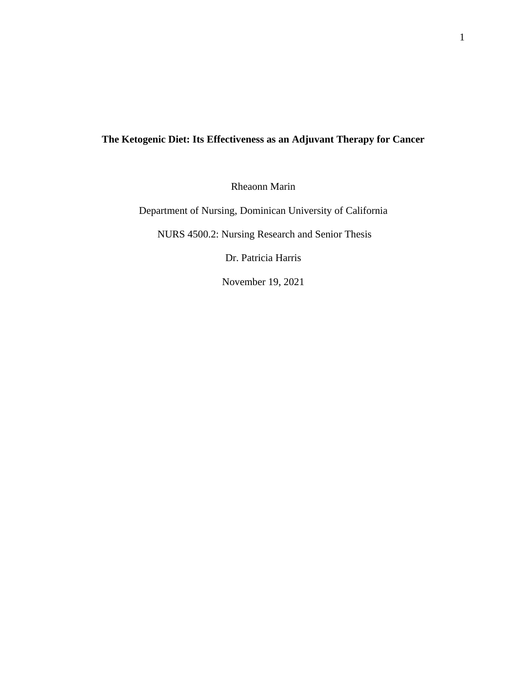# **The Ketogenic Diet: Its Effectiveness as an Adjuvant Therapy for Cancer**

Rheaonn Marin

Department of Nursing, Dominican University of California

NURS 4500.2: Nursing Research and Senior Thesis

Dr. Patricia Harris

November 19, 2021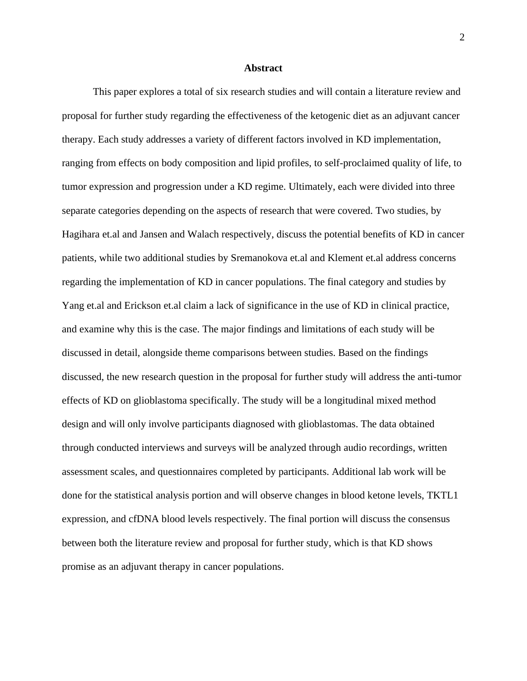#### **Abstract**

This paper explores a total of six research studies and will contain a literature review and proposal for further study regarding the effectiveness of the ketogenic diet as an adjuvant cancer therapy. Each study addresses a variety of different factors involved in KD implementation, ranging from effects on body composition and lipid profiles, to self-proclaimed quality of life, to tumor expression and progression under a KD regime. Ultimately, each were divided into three separate categories depending on the aspects of research that were covered. Two studies, by Hagihara et.al and Jansen and Walach respectively, discuss the potential benefits of KD in cancer patients, while two additional studies by Sremanokova et.al and Klement et.al address concerns regarding the implementation of KD in cancer populations. The final category and studies by Yang et.al and Erickson et.al claim a lack of significance in the use of KD in clinical practice, and examine why this is the case. The major findings and limitations of each study will be discussed in detail, alongside theme comparisons between studies. Based on the findings discussed, the new research question in the proposal for further study will address the anti-tumor effects of KD on glioblastoma specifically. The study will be a longitudinal mixed method design and will only involve participants diagnosed with glioblastomas. The data obtained through conducted interviews and surveys will be analyzed through audio recordings, written assessment scales, and questionnaires completed by participants. Additional lab work will be done for the statistical analysis portion and will observe changes in blood ketone levels, TKTL1 expression, and cfDNA blood levels respectively. The final portion will discuss the consensus between both the literature review and proposal for further study, which is that KD shows promise as an adjuvant therapy in cancer populations.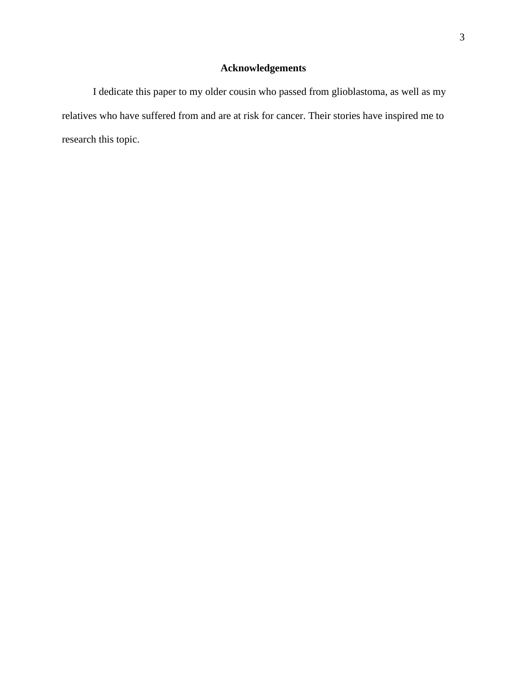# **Acknowledgements**

I dedicate this paper to my older cousin who passed from glioblastoma, as well as my relatives who have suffered from and are at risk for cancer. Their stories have inspired me to research this topic.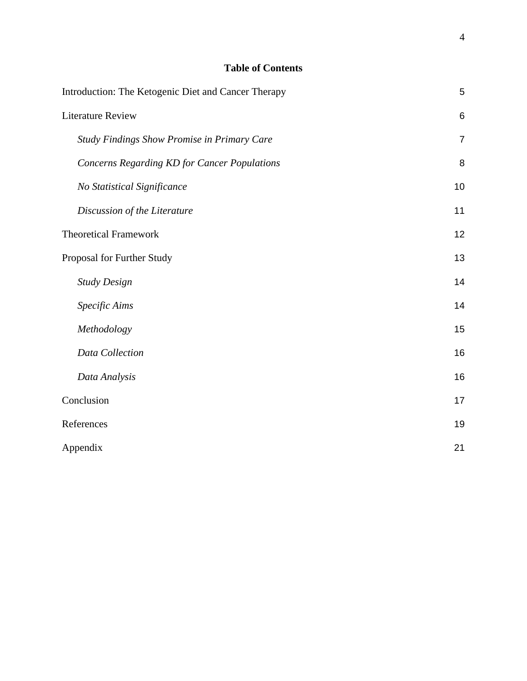# **Table of Contents**

| Introduction: The Ketogenic Diet and Cancer Therapy | 5               |
|-----------------------------------------------------|-----------------|
| <b>Literature Review</b>                            | $6\phantom{1}6$ |
| <b>Study Findings Show Promise in Primary Care</b>  | $\overline{7}$  |
| <b>Concerns Regarding KD for Cancer Populations</b> | 8               |
| No Statistical Significance                         | 10              |
| Discussion of the Literature                        | 11              |
| <b>Theoretical Framework</b>                        | 12              |
| Proposal for Further Study                          | 13              |
| <b>Study Design</b>                                 | 14              |
| Specific Aims                                       | 14              |
| Methodology                                         | 15              |
| Data Collection                                     | 16              |
| Data Analysis                                       | 16              |
| Conclusion                                          | 17              |
| References                                          | 19              |
| Appendix                                            | 21              |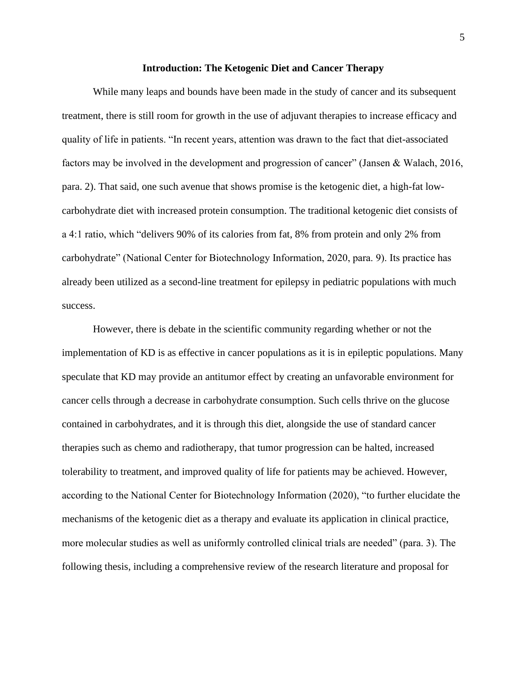#### **Introduction: The Ketogenic Diet and Cancer Therapy**

<span id="page-5-0"></span>While many leaps and bounds have been made in the study of cancer and its subsequent treatment, there is still room for growth in the use of adjuvant therapies to increase efficacy and quality of life in patients. "In recent years, attention was drawn to the fact that diet-associated factors may be involved in the development and progression of cancer" (Jansen & Walach, 2016, para. 2). That said, one such avenue that shows promise is the ketogenic diet, a high-fat lowcarbohydrate diet with increased protein consumption. The traditional ketogenic diet consists of a 4:1 ratio, which "delivers 90% of its calories from fat, 8% from protein and only 2% from carbohydrate" (National Center for Biotechnology Information, 2020, para. 9). Its practice has already been utilized as a second-line treatment for epilepsy in pediatric populations with much success.

However, there is debate in the scientific community regarding whether or not the implementation of KD is as effective in cancer populations as it is in epileptic populations. Many speculate that KD may provide an antitumor effect by creating an unfavorable environment for cancer cells through a decrease in carbohydrate consumption. Such cells thrive on the glucose contained in carbohydrates, and it is through this diet, alongside the use of standard cancer therapies such as chemo and radiotherapy, that tumor progression can be halted, increased tolerability to treatment, and improved quality of life for patients may be achieved. However, according to the National Center for Biotechnology Information (2020), "to further elucidate the mechanisms of the ketogenic diet as a therapy and evaluate its application in clinical practice, more molecular studies as well as uniformly controlled clinical trials are needed" (para. 3). The following thesis, including a comprehensive review of the research literature and proposal for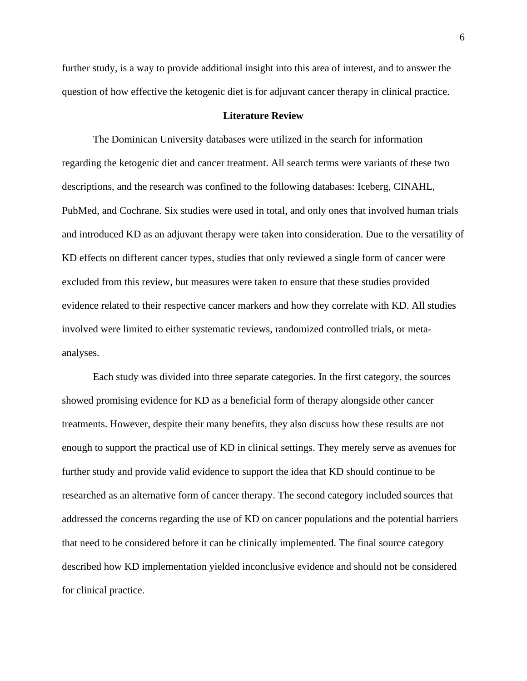further study, is a way to provide additional insight into this area of interest, and to answer the question of how effective the ketogenic diet is for adjuvant cancer therapy in clinical practice.

#### **Literature Review**

<span id="page-6-0"></span>The Dominican University databases were utilized in the search for information regarding the ketogenic diet and cancer treatment. All search terms were variants of these two descriptions, and the research was confined to the following databases: Iceberg, CINAHL, PubMed, and Cochrane. Six studies were used in total, and only ones that involved human trials and introduced KD as an adjuvant therapy were taken into consideration. Due to the versatility of KD effects on different cancer types, studies that only reviewed a single form of cancer were excluded from this review, but measures were taken to ensure that these studies provided evidence related to their respective cancer markers and how they correlate with KD. All studies involved were limited to either systematic reviews, randomized controlled trials, or metaanalyses.

Each study was divided into three separate categories. In the first category, the sources showed promising evidence for KD as a beneficial form of therapy alongside other cancer treatments. However, despite their many benefits, they also discuss how these results are not enough to support the practical use of KD in clinical settings. They merely serve as avenues for further study and provide valid evidence to support the idea that KD should continue to be researched as an alternative form of cancer therapy. The second category included sources that addressed the concerns regarding the use of KD on cancer populations and the potential barriers that need to be considered before it can be clinically implemented. The final source category described how KD implementation yielded inconclusive evidence and should not be considered for clinical practice.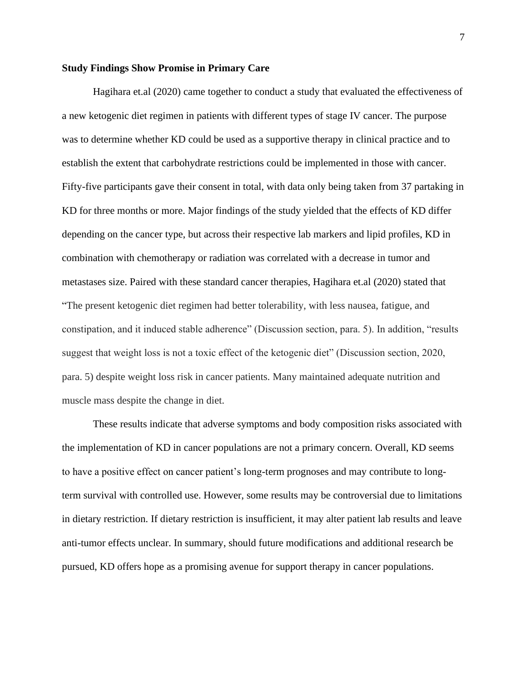#### <span id="page-7-0"></span>**Study Findings Show Promise in Primary Care**

Hagihara et.al (2020) came together to conduct a study that evaluated the effectiveness of a new ketogenic diet regimen in patients with different types of stage IV cancer. The purpose was to determine whether KD could be used as a supportive therapy in clinical practice and to establish the extent that carbohydrate restrictions could be implemented in those with cancer. Fifty-five participants gave their consent in total, with data only being taken from 37 partaking in KD for three months or more. Major findings of the study yielded that the effects of KD differ depending on the cancer type, but across their respective lab markers and lipid profiles, KD in combination with chemotherapy or radiation was correlated with a decrease in tumor and metastases size. Paired with these standard cancer therapies, Hagihara et.al (2020) stated that "The present ketogenic diet regimen had better tolerability, with less nausea, fatigue, and constipation, and it induced stable adherence" (Discussion section, para. 5). In addition, "results suggest that weight loss is not a toxic effect of the ketogenic diet" (Discussion section, 2020, para. 5) despite weight loss risk in cancer patients. Many maintained adequate nutrition and muscle mass despite the change in diet.

These results indicate that adverse symptoms and body composition risks associated with the implementation of KD in cancer populations are not a primary concern. Overall, KD seems to have a positive effect on cancer patient's long-term prognoses and may contribute to longterm survival with controlled use. However, some results may be controversial due to limitations in dietary restriction. If dietary restriction is insufficient, it may alter patient lab results and leave anti-tumor effects unclear. In summary, should future modifications and additional research be pursued, KD offers hope as a promising avenue for support therapy in cancer populations.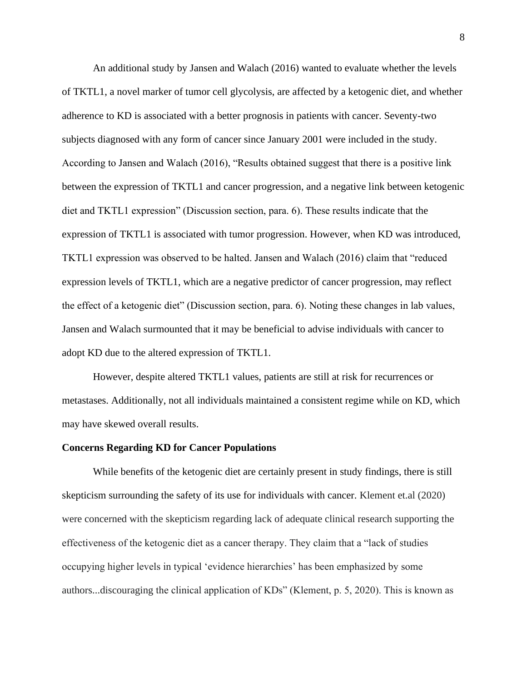An additional study by Jansen and Walach (2016) wanted to evaluate whether the levels of TKTL1, a novel marker of tumor cell glycolysis, are affected by a ketogenic diet, and whether adherence to KD is associated with a better prognosis in patients with cancer. Seventy-two subjects diagnosed with any form of cancer since January 2001 were included in the study. According to Jansen and Walach (2016), "Results obtained suggest that there is a positive link between the expression of TKTL1 and cancer progression, and a negative link between ketogenic diet and TKTL1 expression" (Discussion section, para. 6). These results indicate that the expression of TKTL1 is associated with tumor progression. However, when KD was introduced, TKTL1 expression was observed to be halted. Jansen and Walach (2016) claim that "reduced expression levels of TKTL1, which are a negative predictor of cancer progression, may reflect the effect of a ketogenic diet" (Discussion section, para. 6). Noting these changes in lab values, Jansen and Walach surmounted that it may be beneficial to advise individuals with cancer to adopt KD due to the altered expression of TKTL1.

However, despite altered TKTL1 values, patients are still at risk for recurrences or metastases. Additionally, not all individuals maintained a consistent regime while on KD, which may have skewed overall results.

### <span id="page-8-0"></span>**Concerns Regarding KD for Cancer Populations**

While benefits of the ketogenic diet are certainly present in study findings, there is still skepticism surrounding the safety of its use for individuals with cancer. Klement et.al (2020) were concerned with the skepticism regarding lack of adequate clinical research supporting the effectiveness of the ketogenic diet as a cancer therapy. They claim that a "lack of studies occupying higher levels in typical 'evidence hierarchies' has been emphasized by some authors...discouraging the clinical application of KDs" (Klement, p. 5, 2020). This is known as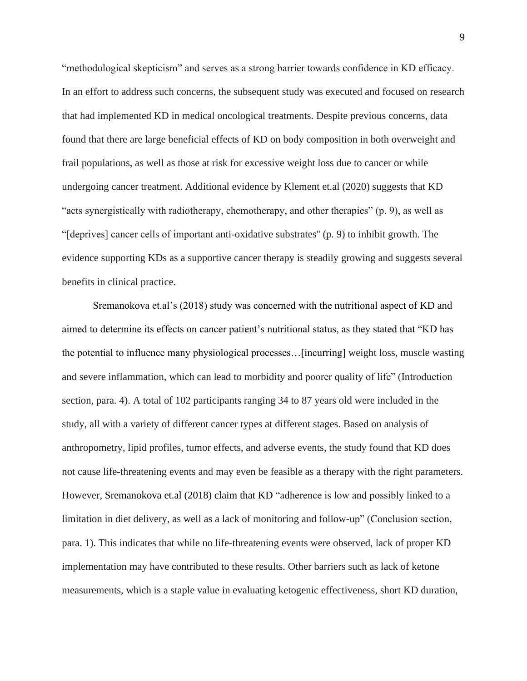"methodological skepticism" and serves as a strong barrier towards confidence in KD efficacy. In an effort to address such concerns, the subsequent study was executed and focused on research that had implemented KD in medical oncological treatments. Despite previous concerns, data found that there are large beneficial effects of KD on body composition in both overweight and frail populations, as well as those at risk for excessive weight loss due to cancer or while undergoing cancer treatment. Additional evidence by Klement et.al (2020) suggests that KD "acts synergistically with radiotherapy, chemotherapy, and other therapies" (p. 9), as well as "[deprives] cancer cells of important anti-oxidative substrates'' (p. 9) to inhibit growth. The evidence supporting KDs as a supportive cancer therapy is steadily growing and suggests several benefits in clinical practice.

Sremanokova et.al's (2018) study was concerned with the nutritional aspect of KD and aimed to determine its effects on cancer patient's nutritional status, as they stated that "KD has the potential to influence many physiological processes…[incurring] weight loss, muscle wasting and severe inflammation, which can lead to morbidity and poorer quality of life" (Introduction section, para. 4). A total of 102 participants ranging 34 to 87 years old were included in the study, all with a variety of different cancer types at different stages. Based on analysis of anthropometry, lipid profiles, tumor effects, and adverse events, the study found that KD does not cause life-threatening events and may even be feasible as a therapy with the right parameters. However, Sremanokova et.al (2018) claim that KD "adherence is low and possibly linked to a limitation in diet delivery, as well as a lack of monitoring and follow-up" (Conclusion section, para. 1). This indicates that while no life-threatening events were observed, lack of proper KD implementation may have contributed to these results. Other barriers such as lack of ketone measurements, which is a staple value in evaluating ketogenic effectiveness, short KD duration,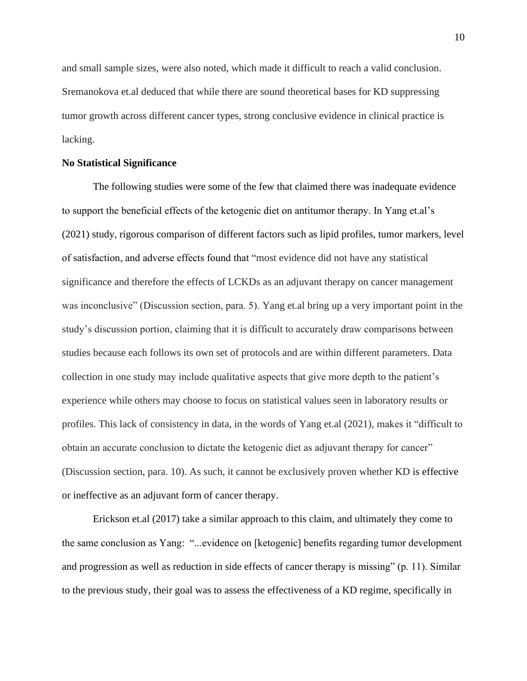and small sample sizes, were also noted, which made it difficult to reach a valid conclusion. Sremanokova et.al deduced that while there are sound theoretical bases for KD suppressing tumor growth across different cancer types, strong conclusive evidence in clinical practice is lacking.

### <span id="page-10-0"></span>**No Statistical Significance**

The following studies were some of the few that claimed there was inadequate evidence to support the beneficial effects of the ketogenic diet on antitumor therapy. In Yang et.al's (2021) study, rigorous comparison of different factors such as lipid profiles, tumor markers, level of satisfaction, and adverse effects found that "most evidence did not have any statistical significance and therefore the effects of LCKDs as an adjuvant therapy on cancer management was inconclusive" (Discussion section, para. 5). Yang et.al bring up a very important point in the study's discussion portion, claiming that it is difficult to accurately draw comparisons between studies because each follows its own set of protocols and are within different parameters. Data collection in one study may include qualitative aspects that give more depth to the patient's experience while others may choose to focus on statistical values seen in laboratory results or profiles. This lack of consistency in data, in the words of Yang et.al (2021), makes it "difficult to obtain an accurate conclusion to dictate the ketogenic diet as adjuvant therapy for cancer" (Discussion section, para. 10). As such, it cannot be exclusively proven whether KD is effective or ineffective as an adjuvant form of cancer therapy.

Erickson et.al (2017) take a similar approach to this claim, and ultimately they come to the same conclusion as Yang: "...evidence on [ketogenic] benefits regarding tumor development and progression as well as reduction in side effects of cancer therapy is missing" (p. 11). Similar to the previous study, their goal was to assess the effectiveness of a KD regime, specifically in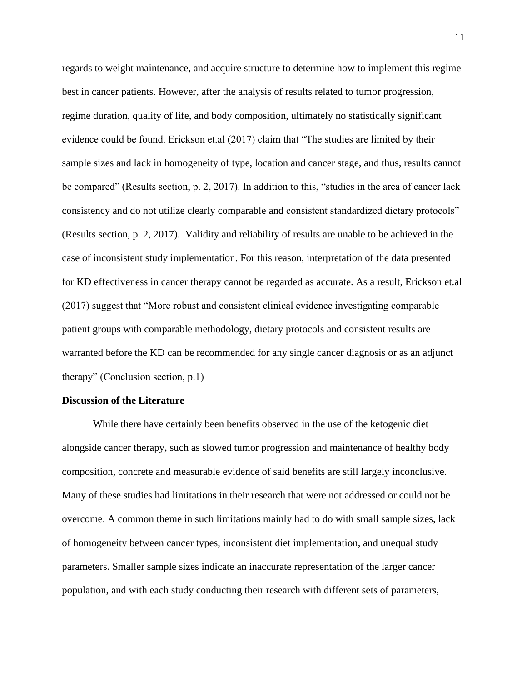regards to weight maintenance, and acquire structure to determine how to implement this regime best in cancer patients. However, after the analysis of results related to tumor progression, regime duration, quality of life, and body composition, ultimately no statistically significant evidence could be found. Erickson et.al (2017) claim that "The studies are limited by their sample sizes and lack in homogeneity of type, location and cancer stage, and thus, results cannot be compared" (Results section, p. 2, 2017). In addition to this, "studies in the area of cancer lack consistency and do not utilize clearly comparable and consistent standardized dietary protocols" (Results section, p. 2, 2017). Validity and reliability of results are unable to be achieved in the case of inconsistent study implementation. For this reason, interpretation of the data presented for KD effectiveness in cancer therapy cannot be regarded as accurate. As a result, Erickson et.al (2017) suggest that "More robust and consistent clinical evidence investigating comparable patient groups with comparable methodology, dietary protocols and consistent results are warranted before the KD can be recommended for any single cancer diagnosis or as an adjunct therapy" (Conclusion section, p.1)

#### <span id="page-11-0"></span>**Discussion of the Literature**

While there have certainly been benefits observed in the use of the ketogenic diet alongside cancer therapy, such as slowed tumor progression and maintenance of healthy body composition, concrete and measurable evidence of said benefits are still largely inconclusive. Many of these studies had limitations in their research that were not addressed or could not be overcome. A common theme in such limitations mainly had to do with small sample sizes, lack of homogeneity between cancer types, inconsistent diet implementation, and unequal study parameters. Smaller sample sizes indicate an inaccurate representation of the larger cancer population, and with each study conducting their research with different sets of parameters,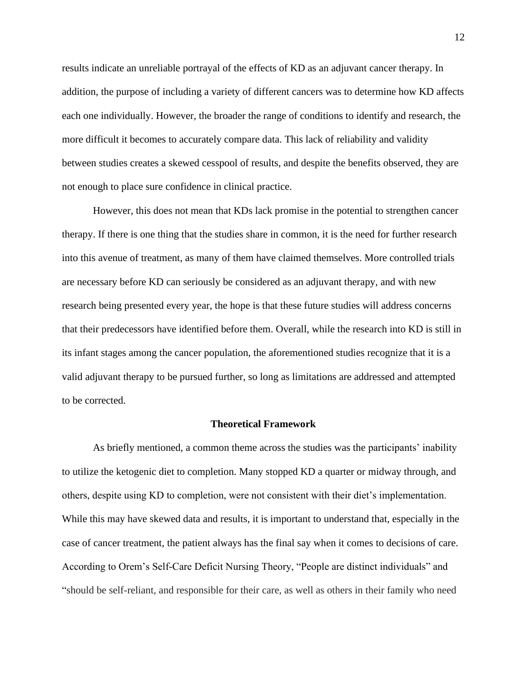results indicate an unreliable portrayal of the effects of KD as an adjuvant cancer therapy. In addition, the purpose of including a variety of different cancers was to determine how KD affects each one individually. However, the broader the range of conditions to identify and research, the more difficult it becomes to accurately compare data. This lack of reliability and validity between studies creates a skewed cesspool of results, and despite the benefits observed, they are not enough to place sure confidence in clinical practice.

However, this does not mean that KDs lack promise in the potential to strengthen cancer therapy. If there is one thing that the studies share in common, it is the need for further research into this avenue of treatment, as many of them have claimed themselves. More controlled trials are necessary before KD can seriously be considered as an adjuvant therapy, and with new research being presented every year, the hope is that these future studies will address concerns that their predecessors have identified before them. Overall, while the research into KD is still in its infant stages among the cancer population, the aforementioned studies recognize that it is a valid adjuvant therapy to be pursued further, so long as limitations are addressed and attempted to be corrected.

#### **Theoretical Framework**

<span id="page-12-0"></span>As briefly mentioned, a common theme across the studies was the participants' inability to utilize the ketogenic diet to completion. Many stopped KD a quarter or midway through, and others, despite using KD to completion, were not consistent with their diet's implementation. While this may have skewed data and results, it is important to understand that, especially in the case of cancer treatment, the patient always has the final say when it comes to decisions of care. According to Orem's Self-Care Deficit Nursing Theory, "People are distinct individuals" and "should be self-reliant, and responsible for their care, as well as others in their family who need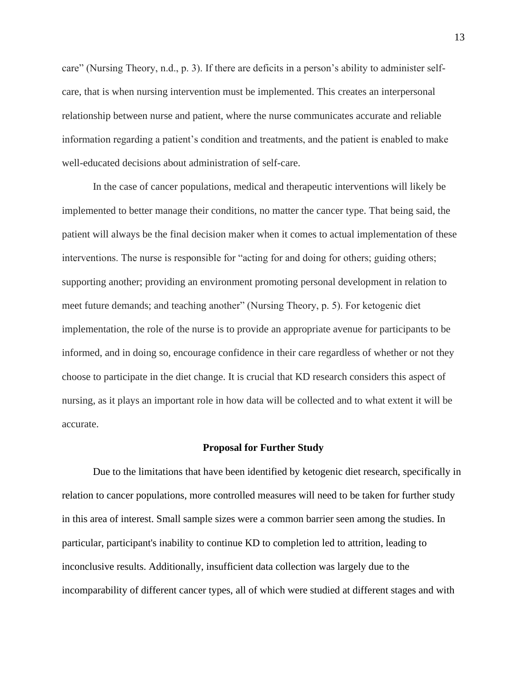care" (Nursing Theory, n.d., p. 3). If there are deficits in a person's ability to administer selfcare, that is when nursing intervention must be implemented. This creates an interpersonal relationship between nurse and patient, where the nurse communicates accurate and reliable information regarding a patient's condition and treatments, and the patient is enabled to make well-educated decisions about administration of self-care.

In the case of cancer populations, medical and therapeutic interventions will likely be implemented to better manage their conditions, no matter the cancer type. That being said, the patient will always be the final decision maker when it comes to actual implementation of these interventions. The nurse is responsible for "acting for and doing for others; guiding others; supporting another; providing an environment promoting personal development in relation to meet future demands; and teaching another" (Nursing Theory, p. 5). For ketogenic diet implementation, the role of the nurse is to provide an appropriate avenue for participants to be informed, and in doing so, encourage confidence in their care regardless of whether or not they choose to participate in the diet change. It is crucial that KD research considers this aspect of nursing, as it plays an important role in how data will be collected and to what extent it will be accurate.

#### **Proposal for Further Study**

<span id="page-13-0"></span>Due to the limitations that have been identified by ketogenic diet research, specifically in relation to cancer populations, more controlled measures will need to be taken for further study in this area of interest. Small sample sizes were a common barrier seen among the studies. In particular, participant's inability to continue KD to completion led to attrition, leading to inconclusive results. Additionally, insufficient data collection was largely due to the incomparability of different cancer types, all of which were studied at different stages and with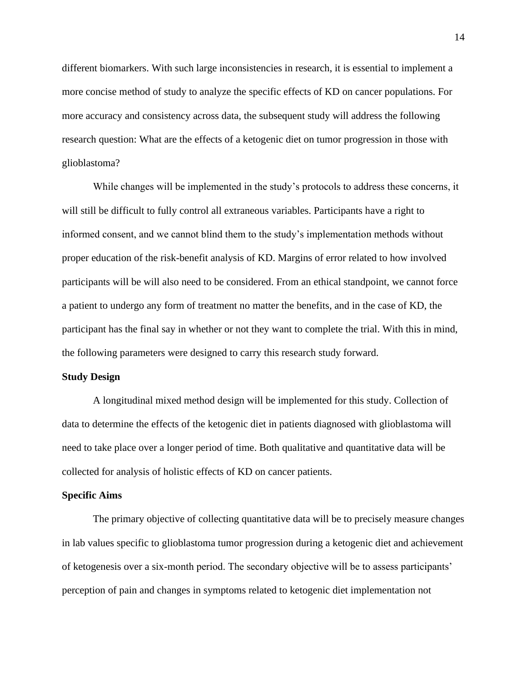different biomarkers. With such large inconsistencies in research, it is essential to implement a more concise method of study to analyze the specific effects of KD on cancer populations. For more accuracy and consistency across data, the subsequent study will address the following research question: What are the effects of a ketogenic diet on tumor progression in those with glioblastoma?

While changes will be implemented in the study's protocols to address these concerns, it will still be difficult to fully control all extraneous variables. Participants have a right to informed consent, and we cannot blind them to the study's implementation methods without proper education of the risk-benefit analysis of KD. Margins of error related to how involved participants will be will also need to be considered. From an ethical standpoint, we cannot force a patient to undergo any form of treatment no matter the benefits, and in the case of KD, the participant has the final say in whether or not they want to complete the trial. With this in mind, the following parameters were designed to carry this research study forward.

#### <span id="page-14-0"></span>**Study Design**

A longitudinal mixed method design will be implemented for this study. Collection of data to determine the effects of the ketogenic diet in patients diagnosed with glioblastoma will need to take place over a longer period of time. Both qualitative and quantitative data will be collected for analysis of holistic effects of KD on cancer patients.

#### <span id="page-14-1"></span>**Specific Aims**

The primary objective of collecting quantitative data will be to precisely measure changes in lab values specific to glioblastoma tumor progression during a ketogenic diet and achievement of ketogenesis over a six-month period. The secondary objective will be to assess participants' perception of pain and changes in symptoms related to ketogenic diet implementation not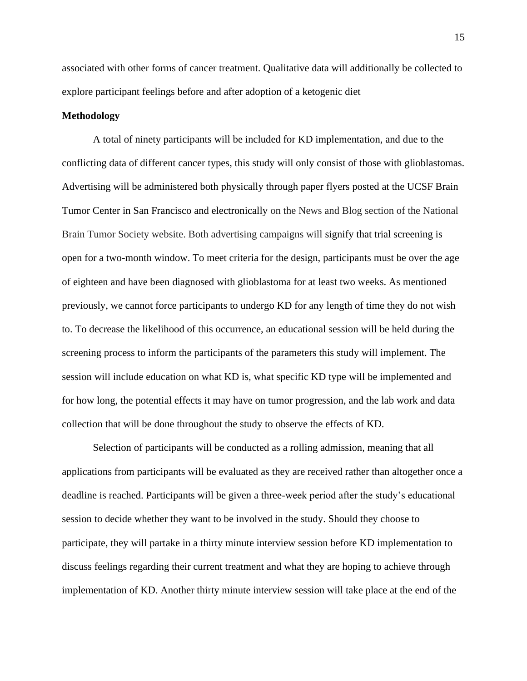associated with other forms of cancer treatment. Qualitative data will additionally be collected to explore participant feelings before and after adoption of a ketogenic diet

### <span id="page-15-0"></span>**Methodology**

A total of ninety participants will be included for KD implementation, and due to the conflicting data of different cancer types, this study will only consist of those with glioblastomas. Advertising will be administered both physically through paper flyers posted at the UCSF Brain Tumor Center in San Francisco and electronically on the News and Blog section of the National Brain Tumor Society website. Both advertising campaigns will signify that trial screening is open for a two-month window. To meet criteria for the design, participants must be over the age of eighteen and have been diagnosed with glioblastoma for at least two weeks. As mentioned previously, we cannot force participants to undergo KD for any length of time they do not wish to. To decrease the likelihood of this occurrence, an educational session will be held during the screening process to inform the participants of the parameters this study will implement. The session will include education on what KD is, what specific KD type will be implemented and for how long, the potential effects it may have on tumor progression, and the lab work and data collection that will be done throughout the study to observe the effects of KD.

Selection of participants will be conducted as a rolling admission, meaning that all applications from participants will be evaluated as they are received rather than altogether once a deadline is reached. Participants will be given a three-week period after the study's educational session to decide whether they want to be involved in the study. Should they choose to participate, they will partake in a thirty minute interview session before KD implementation to discuss feelings regarding their current treatment and what they are hoping to achieve through implementation of KD. Another thirty minute interview session will take place at the end of the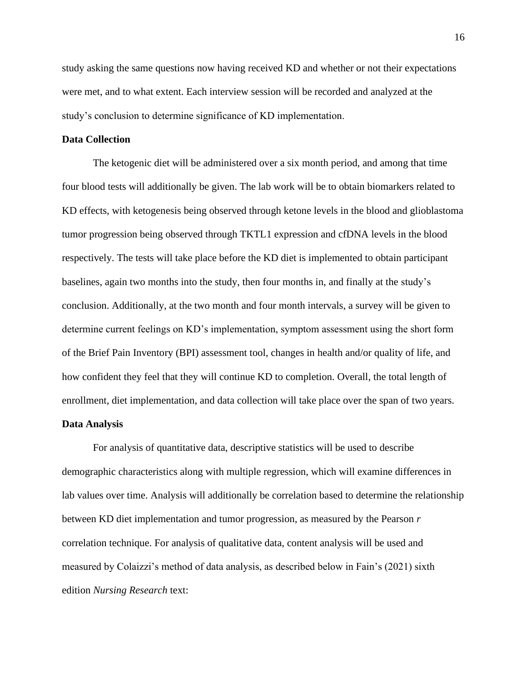study asking the same questions now having received KD and whether or not their expectations were met, and to what extent. Each interview session will be recorded and analyzed at the study's conclusion to determine significance of KD implementation.

### <span id="page-16-0"></span>**Data Collection**

The ketogenic diet will be administered over a six month period, and among that time four blood tests will additionally be given. The lab work will be to obtain biomarkers related to KD effects, with ketogenesis being observed through ketone levels in the blood and glioblastoma tumor progression being observed through TKTL1 expression and cfDNA levels in the blood respectively. The tests will take place before the KD diet is implemented to obtain participant baselines, again two months into the study, then four months in, and finally at the study's conclusion. Additionally, at the two month and four month intervals, a survey will be given to determine current feelings on KD's implementation, symptom assessment using the short form of the Brief Pain Inventory (BPI) assessment tool, changes in health and/or quality of life, and how confident they feel that they will continue KD to completion. Overall, the total length of enrollment, diet implementation, and data collection will take place over the span of two years.

#### <span id="page-16-1"></span>**Data Analysis**

For analysis of quantitative data, descriptive statistics will be used to describe demographic characteristics along with multiple regression, which will examine differences in lab values over time. Analysis will additionally be correlation based to determine the relationship between KD diet implementation and tumor progression, as measured by the Pearson *r*  correlation technique. For analysis of qualitative data, content analysis will be used and measured by Colaizzi's method of data analysis, as described below in Fain's (2021) sixth edition *Nursing Research* text: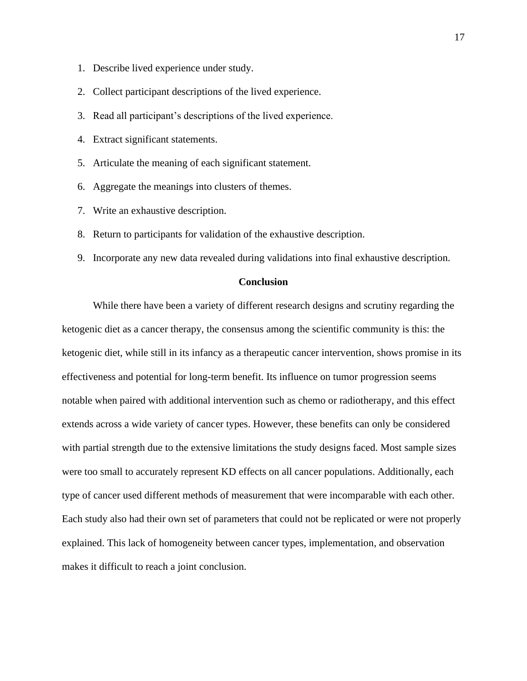- 1. Describe lived experience under study.
- 2. Collect participant descriptions of the lived experience.
- 3. Read all participant's descriptions of the lived experience.
- 4. Extract significant statements.
- 5. Articulate the meaning of each significant statement.
- 6. Aggregate the meanings into clusters of themes.
- 7. Write an exhaustive description.
- 8. Return to participants for validation of the exhaustive description.
- 9. Incorporate any new data revealed during validations into final exhaustive description.

### **Conclusion**

<span id="page-17-0"></span>While there have been a variety of different research designs and scrutiny regarding the ketogenic diet as a cancer therapy, the consensus among the scientific community is this: the ketogenic diet, while still in its infancy as a therapeutic cancer intervention, shows promise in its effectiveness and potential for long-term benefit. Its influence on tumor progression seems notable when paired with additional intervention such as chemo or radiotherapy, and this effect extends across a wide variety of cancer types. However, these benefits can only be considered with partial strength due to the extensive limitations the study designs faced. Most sample sizes were too small to accurately represent KD effects on all cancer populations. Additionally, each type of cancer used different methods of measurement that were incomparable with each other. Each study also had their own set of parameters that could not be replicated or were not properly explained. This lack of homogeneity between cancer types, implementation, and observation makes it difficult to reach a joint conclusion.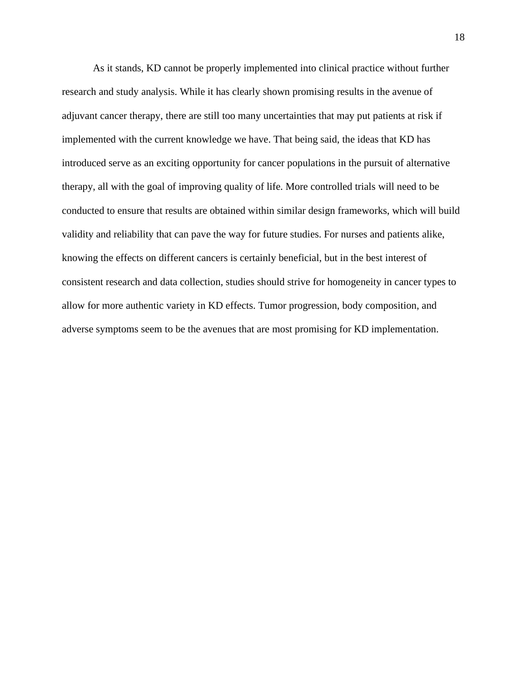As it stands, KD cannot be properly implemented into clinical practice without further research and study analysis. While it has clearly shown promising results in the avenue of adjuvant cancer therapy, there are still too many uncertainties that may put patients at risk if implemented with the current knowledge we have. That being said, the ideas that KD has introduced serve as an exciting opportunity for cancer populations in the pursuit of alternative therapy, all with the goal of improving quality of life. More controlled trials will need to be conducted to ensure that results are obtained within similar design frameworks, which will build validity and reliability that can pave the way for future studies. For nurses and patients alike, knowing the effects on different cancers is certainly beneficial, but in the best interest of consistent research and data collection, studies should strive for homogeneity in cancer types to allow for more authentic variety in KD effects. Tumor progression, body composition, and adverse symptoms seem to be the avenues that are most promising for KD implementation.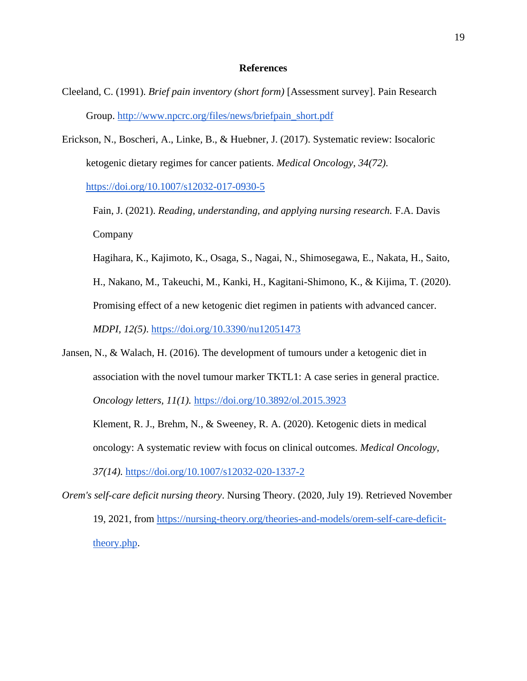#### **References**

- <span id="page-19-0"></span>Cleeland, C. (1991). *Brief pain inventory (short form)* [Assessment survey]. Pain Research Group. [http://www.npcrc.org/files/news/briefpain\\_short.pdf](http://www.npcrc.org/files/news/briefpain_short.pdf)
- Erickson, N., Boscheri, A., Linke, B., & Huebner, J. (2017). Systematic review: Isocaloric ketogenic dietary regimes for cancer patients. *Medical Oncology, 34(72).*

<https://doi.org/10.1007/s12032-017-0930-5>

Fain, J. (2021). *Reading, understanding, and applying nursing research.* F.A. Davis Company

Hagihara, K., Kajimoto, K., Osaga, S., Nagai, N., Shimosegawa, E., Nakata, H., Saito, H., Nakano, M., Takeuchi, M., Kanki, H., Kagitani-Shimono, K., & Kijima, T. (2020). Promising effect of a new ketogenic diet regimen in patients with advanced cancer. *MDPI, 12(5)*.<https://doi.org/10.3390/nu12051473>

Jansen, N., & Walach, H. (2016). The development of tumours under a ketogenic diet in association with the novel tumour marker TKTL1: A case series in general practice. *Oncology letters, 11(1).* [https://doi.org/10.3892/ol.2015.3923](https://dx.doi.org/10.3892%2Fol.2015.3923)

Klement, R. J., Brehm, N., & Sweeney, R. A. (2020). Ketogenic diets in medical oncology: A systematic review with focus on clinical outcomes. *Medical Oncology, 37(14).* <https://doi.org/10.1007/s12032-020-1337-2>

*Orem's self-care deficit nursing theory*. Nursing Theory. (2020, July 19). Retrieved November 19, 2021, from [https://nursing-theory.org/theories-and-models/orem-self-care-deficit](https://nursing-theory.org/theories-and-models/orem-self-care-deficit-theory.php)[theory.php.](https://nursing-theory.org/theories-and-models/orem-self-care-deficit-theory.php)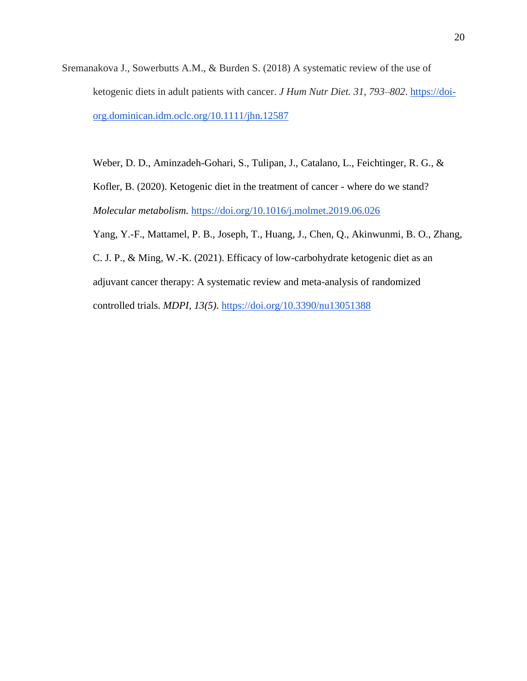Sremanakova J., Sowerbutts A.M., & Burden S. (2018) A systematic review of the use of ketogenic diets in adult patients with cancer. *J Hum Nutr Diet. 31, 793–802*. [https://doi](https://doi-org.dominican.idm.oclc.org/10.1111/jhn.12587)[org.dominican.idm.oclc.org/10.1111/jhn.12587](https://doi-org.dominican.idm.oclc.org/10.1111/jhn.12587)

Weber, D. D., Aminzadeh-Gohari, S., Tulipan, J., Catalano, L., Feichtinger, R. G., & Kofler, B. (2020). Ketogenic diet in the treatment of cancer - where do we stand? *Molecular metabolism.* [https://doi.org/10.1016/j.molmet.2019.06.026](https://dx.doi.org/10.1016%2Fj.molmet.2019.06.026) Yang, Y.-F., Mattamel, P. B., Joseph, T., Huang, J., Chen, Q., Akinwunmi, B. O., Zhang, C. J. P., & Ming, W.-K. (2021). Efficacy of low-carbohydrate ketogenic diet as an adjuvant cancer therapy: A systematic review and meta-analysis of randomized

controlled trials. *MDPI, 13(5)*.<https://doi.org/10.3390/nu13051388>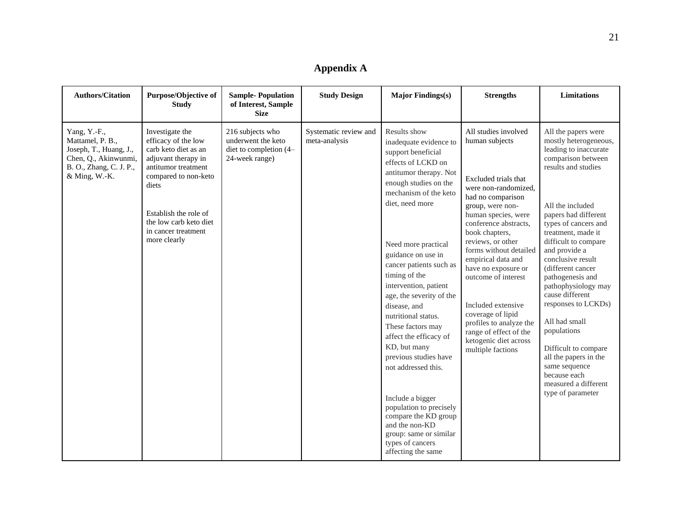| <b>Appendix A</b> |  |  |
|-------------------|--|--|
|-------------------|--|--|

<span id="page-21-0"></span>

| <b>Authors/Citation</b>                                                                                                        | Purpose/Objective of<br><b>Study</b>                                                                                                                                                                                                    | <b>Sample-Population</b><br>of Interest, Sample<br><b>Size</b>                     | <b>Study Design</b>                    | <b>Major Findings(s)</b>                                                                                                                                                                                                                                                                                                                                                                                                                                                                                                                                                                                                                           | <b>Strengths</b>                                                                                                                                                                                                                                                                                                                                                                                                                                                   | <b>Limitations</b>                                                                                                                                                                                                                                                                                                                                                                                                                                                                                                                                  |
|--------------------------------------------------------------------------------------------------------------------------------|-----------------------------------------------------------------------------------------------------------------------------------------------------------------------------------------------------------------------------------------|------------------------------------------------------------------------------------|----------------------------------------|----------------------------------------------------------------------------------------------------------------------------------------------------------------------------------------------------------------------------------------------------------------------------------------------------------------------------------------------------------------------------------------------------------------------------------------------------------------------------------------------------------------------------------------------------------------------------------------------------------------------------------------------------|--------------------------------------------------------------------------------------------------------------------------------------------------------------------------------------------------------------------------------------------------------------------------------------------------------------------------------------------------------------------------------------------------------------------------------------------------------------------|-----------------------------------------------------------------------------------------------------------------------------------------------------------------------------------------------------------------------------------------------------------------------------------------------------------------------------------------------------------------------------------------------------------------------------------------------------------------------------------------------------------------------------------------------------|
| Yang, Y.-F.,<br>Mattamel, P. B.,<br>Joseph, T., Huang, J.,<br>Chen, Q., Akinwunmi,<br>B. O., Zhang, C. J. P.,<br>& Ming, W.-K. | Investigate the<br>efficacy of the low<br>carb keto diet as an<br>adjuvant therapy in<br>antitumor treatment<br>compared to non-keto<br>diets<br>Establish the role of<br>the low carb keto diet<br>in cancer treatment<br>more clearly | 216 subjects who<br>underwent the keto<br>diet to completion (4-<br>24-week range) | Systematic review and<br>meta-analysis | Results show<br>inadequate evidence to<br>support beneficial<br>effects of LCKD on<br>antitumor therapy. Not<br>enough studies on the<br>mechanism of the keto<br>diet, need more<br>Need more practical<br>guidance on use in<br>cancer patients such as<br>timing of the<br>intervention, patient<br>age, the severity of the<br>disease, and<br>nutritional status.<br>These factors may<br>affect the efficacy of<br>KD, but many<br>previous studies have<br>not addressed this.<br>Include a bigger<br>population to precisely<br>compare the KD group<br>and the non-KD<br>group: same or similar<br>types of cancers<br>affecting the same | All studies involved<br>human subjects<br>Excluded trials that<br>were non-randomized,<br>had no comparison<br>group, were non-<br>human species, were<br>conference abstracts,<br>book chapters,<br>reviews, or other<br>forms without detailed<br>empirical data and<br>have no exposure or<br>outcome of interest<br>Included extensive<br>coverage of lipid<br>profiles to analyze the<br>range of effect of the<br>ketogenic diet across<br>multiple factions | All the papers were<br>mostly heterogeneous,<br>leading to inaccurate<br>comparison between<br>results and studies<br>All the included<br>papers had different<br>types of cancers and<br>treatment, made it<br>difficult to compare<br>and provide a<br>conclusive result<br>(different cancer<br>pathogenesis and<br>pathophysiology may<br>cause different<br>responses to LCKDs)<br>All had small<br>populations<br>Difficult to compare<br>all the papers in the<br>same sequence<br>because each<br>measured a different<br>type of parameter |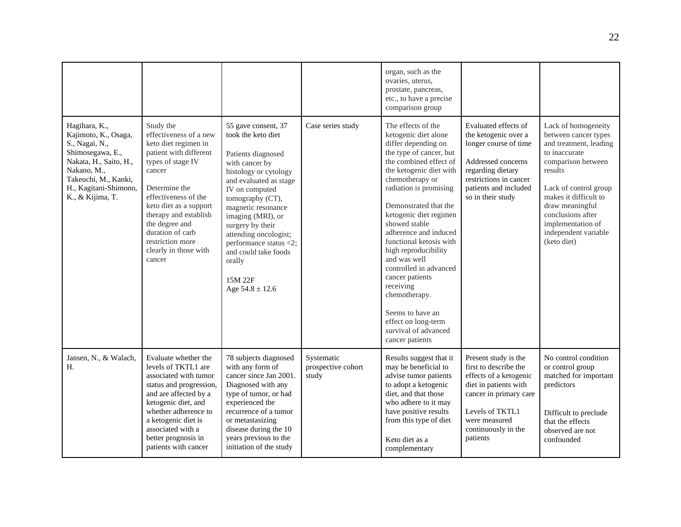|                                                                                                                                                                                           |                                                                                                                                                                                                                                                                                                               |                                                                                                                                                                                                                                                                                                                                                                  |                                           | organ, such as the<br>ovaries, uterus,<br>prostate, pancreas,<br>etc., to have a precise<br>comparison group                                                                                                                                                                                                                                                                                                                                                                                                                    |                                                                                                                                                                                                   |                                                                                                                                                                                                                                                                               |
|-------------------------------------------------------------------------------------------------------------------------------------------------------------------------------------------|---------------------------------------------------------------------------------------------------------------------------------------------------------------------------------------------------------------------------------------------------------------------------------------------------------------|------------------------------------------------------------------------------------------------------------------------------------------------------------------------------------------------------------------------------------------------------------------------------------------------------------------------------------------------------------------|-------------------------------------------|---------------------------------------------------------------------------------------------------------------------------------------------------------------------------------------------------------------------------------------------------------------------------------------------------------------------------------------------------------------------------------------------------------------------------------------------------------------------------------------------------------------------------------|---------------------------------------------------------------------------------------------------------------------------------------------------------------------------------------------------|-------------------------------------------------------------------------------------------------------------------------------------------------------------------------------------------------------------------------------------------------------------------------------|
| Hagihara, K.,<br>Kajimoto, K., Osaga,<br>S., Nagai, N.,<br>Shimosegawa, E.,<br>Nakata, H., Saito, H.,<br>Nakano, M.,<br>Takeuchi, M., Kanki,<br>H., Kagitani-Shimono,<br>K., & Kijima, T. | Study the<br>effectiveness of a new<br>keto diet regimen in<br>patient with different<br>types of stage IV<br>cancer<br>Determine the<br>effectiveness of the<br>keto diet as a support<br>therapy and establish<br>the degree and<br>duration of carb<br>restriction more<br>clearly in those with<br>cancer | 55 gave consent, 37<br>took the keto diet<br>Patients diagnosed<br>with cancer by<br>histology or cytology<br>and evaluated as stage<br>IV on computed<br>tomography (CT),<br>magnetic resonance<br>imaging (MRI), or<br>surgery by their<br>attending oncologist;<br>performance status <2;<br>and could take foods<br>orally<br>15M 22F<br>Age $54.8 \pm 12.6$ | Case series study                         | The effects of the<br>ketogenic diet alone<br>differ depending on<br>the type of cancer, but<br>the combined effect of<br>the ketogenic diet with<br>chemotherapy or<br>radiation is promising<br>Demonstrated that the<br>ketogenic diet regimen<br>showed stable<br>adherence and induced<br>functional ketosis with<br>high reproducibility<br>and was well<br>controlled in advanced<br>cancer patients<br>receiving<br>chemotherapy.<br>Seems to have an<br>effect on long-term<br>survival of advanced<br>cancer patients | Evaluated effects of<br>the ketogenic over a<br>longer course of time<br>Addressed concerns<br>regarding dietary<br>restrictions in cancer<br>patients and included<br>so in their study          | Lack of homogeneity<br>between cancer types<br>and treatment, leading<br>to inaccurate<br>comparison between<br>results<br>Lack of control group<br>makes it difficult to<br>draw meaningful<br>conclusions after<br>implementation of<br>independent variable<br>(keto diet) |
| Jansen, N., & Walach,<br>H.                                                                                                                                                               | Evaluate whether the<br>levels of TKTL1 are<br>associated with tumor<br>status and progression,<br>and are affected by a<br>ketogenic diet, and<br>whether adherence to<br>a ketogenic diet is<br>associated with a<br>better prognosis in<br>patients with cancer                                            | 78 subjects diagnosed<br>with any form of<br>cancer since Jan 2001.<br>Diagnosed with any<br>type of tumor, or had<br>experienced the<br>recurrence of a tumor<br>or metastasizing<br>disease during the 10<br>years previous to the<br>initiation of the study                                                                                                  | Systematic<br>prospective cohort<br>study | Results suggest that it<br>may be beneficial to<br>advise tumor patients<br>to adopt a ketogenic<br>diet, and that those<br>who adhere to it may<br>have positive results<br>from this type of diet<br>Keto diet as a<br>complementary                                                                                                                                                                                                                                                                                          | Present study is the<br>first to describe the<br>effects of a ketogenic<br>diet in patients with<br>cancer in primary care<br>Levels of TKTL1<br>were measured<br>continuously in the<br>patients | No control condition<br>or control group<br>matched for important<br>predictors<br>Difficult to preclude<br>that the effects<br>observed are not<br>confounded                                                                                                                |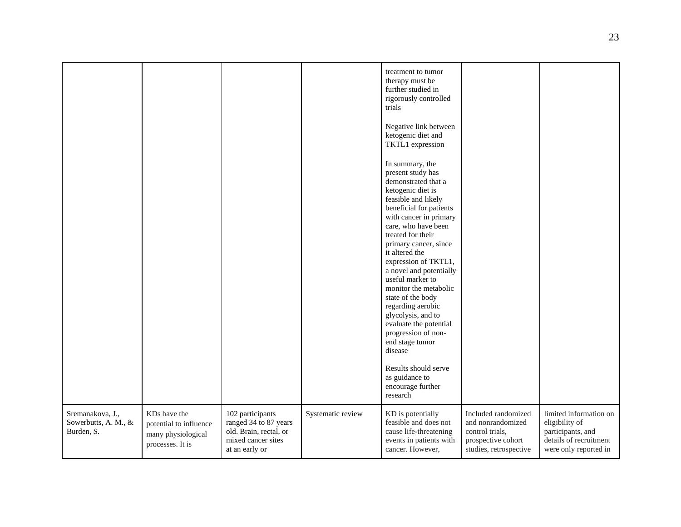|                                                        |                                                                                  |                                                                                                             |                   | treatment to tumor<br>therapy must be<br>further studied in<br>rigorously controlled<br>trials<br>Negative link between<br>ketogenic diet and<br>TKTL1 expression<br>In summary, the<br>present study has<br>demonstrated that a<br>ketogenic diet is<br>feasible and likely<br>beneficial for patients<br>with cancer in primary<br>care, who have been<br>treated for their<br>primary cancer, since<br>it altered the<br>expression of TKTL1,<br>a novel and potentially<br>useful marker to<br>monitor the metabolic<br>state of the body<br>regarding aerobic<br>glycolysis, and to<br>evaluate the potential<br>progression of non-<br>end stage tumor<br>disease<br>Results should serve<br>as guidance to<br>encourage further<br>research |                                                                                                             |                                                                                                                  |
|--------------------------------------------------------|----------------------------------------------------------------------------------|-------------------------------------------------------------------------------------------------------------|-------------------|----------------------------------------------------------------------------------------------------------------------------------------------------------------------------------------------------------------------------------------------------------------------------------------------------------------------------------------------------------------------------------------------------------------------------------------------------------------------------------------------------------------------------------------------------------------------------------------------------------------------------------------------------------------------------------------------------------------------------------------------------|-------------------------------------------------------------------------------------------------------------|------------------------------------------------------------------------------------------------------------------|
| Sremanakova, J.,<br>Sowerbutts, A. M., &<br>Burden, S. | KDs have the<br>potential to influence<br>many physiological<br>processes. It is | 102 participants<br>ranged 34 to 87 years<br>old. Brain, rectal, or<br>mixed cancer sites<br>at an early or | Systematic review | KD is potentially<br>feasible and does not<br>cause life-threatening<br>events in patients with<br>cancer. However,                                                                                                                                                                                                                                                                                                                                                                                                                                                                                                                                                                                                                                | Included randomized<br>and nonrandomized<br>control trials,<br>prospective cohort<br>studies, retrospective | limited information on<br>eligibility of<br>participants, and<br>details of recruitment<br>were only reported in |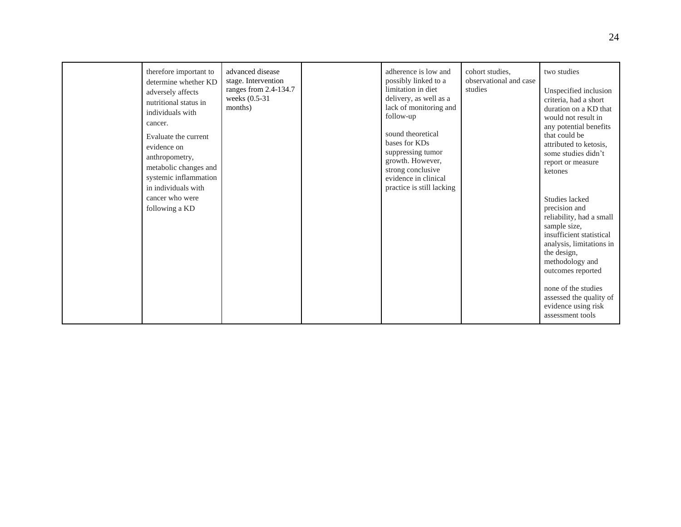| therefore important to<br>determine whether KD<br>adversely affects<br>nutritional status in<br>individuals with<br>cancer.<br>Evaluate the current<br>evidence on<br>anthropometry,<br>metabolic changes and<br>systemic inflammation<br>in individuals with<br>cancer who were<br>following a KD | advanced disease<br>stage. Intervention<br>ranges from $2.4$ -134.7<br>weeks $(0.5-31)$<br>months) | adherence is low and<br>possibly linked to a<br>limitation in diet<br>delivery, as well as a<br>lack of monitoring and<br>follow-up<br>sound theoretical<br>bases for KDs<br>suppressing tumor<br>growth. However,<br>strong conclusive<br>evidence in clinical<br>practice is still lacking | cohort studies.<br>observational and case<br>studies | two studies<br>Unspecified inclusion<br>criteria, had a short<br>duration on a KD that<br>would not result in<br>any potential benefits<br>that could be<br>attributed to ketosis,<br>some studies didn't<br>report or measure<br>ketones<br>Studies lacked<br>precision and<br>reliability, had a small<br>sample size,<br>insufficient statistical<br>analysis, limitations in<br>the design,<br>methodology and<br>outcomes reported<br>none of the studies<br>assessed the quality of |
|----------------------------------------------------------------------------------------------------------------------------------------------------------------------------------------------------------------------------------------------------------------------------------------------------|----------------------------------------------------------------------------------------------------|----------------------------------------------------------------------------------------------------------------------------------------------------------------------------------------------------------------------------------------------------------------------------------------------|------------------------------------------------------|-------------------------------------------------------------------------------------------------------------------------------------------------------------------------------------------------------------------------------------------------------------------------------------------------------------------------------------------------------------------------------------------------------------------------------------------------------------------------------------------|
|                                                                                                                                                                                                                                                                                                    |                                                                                                    |                                                                                                                                                                                                                                                                                              |                                                      | evidence using risk<br>assessment tools                                                                                                                                                                                                                                                                                                                                                                                                                                                   |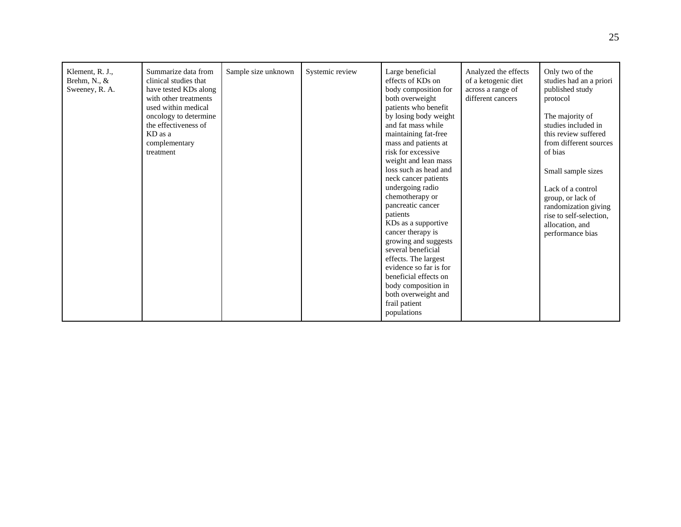| Klement, R. J.,<br>Brehm, N., &<br>Sweeney, R. A. | Summarize data from<br>clinical studies that<br>have tested KDs along<br>with other treatments<br>used within medical<br>oncology to determine<br>the effectiveness of<br>KD as a<br>complementary<br>treatment | Sample size unknown | Systemic review | Large beneficial<br>effects of KDs on<br>body composition for<br>both overweight<br>patients who benefit<br>by losing body weight<br>and fat mass while<br>maintaining fat-free<br>mass and patients at<br>risk for excessive<br>weight and lean mass<br>loss such as head and<br>neck cancer patients<br>undergoing radio<br>chemotherapy or<br>pancreatic cancer<br>patients<br>KDs as a supportive<br>cancer therapy is<br>growing and suggests<br>several beneficial<br>effects. The largest<br>evidence so far is for<br>beneficial effects on<br>body composition in<br>both overweight and<br>frail patient | Analyzed the effects<br>of a ketogenic diet<br>across a range of<br>different cancers | Only two of the<br>studies had an a priori<br>published study<br>protocol<br>The majority of<br>studies included in<br>this review suffered<br>from different sources<br>of bias<br>Small sample sizes<br>Lack of a control<br>group, or lack of<br>randomization giving<br>rise to self-selection.<br>allocation, and<br>performance bias |
|---------------------------------------------------|-----------------------------------------------------------------------------------------------------------------------------------------------------------------------------------------------------------------|---------------------|-----------------|--------------------------------------------------------------------------------------------------------------------------------------------------------------------------------------------------------------------------------------------------------------------------------------------------------------------------------------------------------------------------------------------------------------------------------------------------------------------------------------------------------------------------------------------------------------------------------------------------------------------|---------------------------------------------------------------------------------------|--------------------------------------------------------------------------------------------------------------------------------------------------------------------------------------------------------------------------------------------------------------------------------------------------------------------------------------------|
|                                                   |                                                                                                                                                                                                                 |                     |                 | populations                                                                                                                                                                                                                                                                                                                                                                                                                                                                                                                                                                                                        |                                                                                       |                                                                                                                                                                                                                                                                                                                                            |